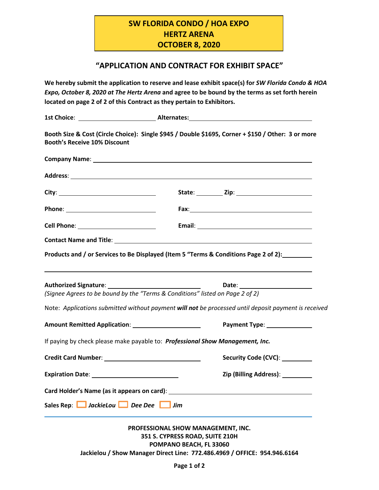## **SW FLORIDA CONDO / HOA EXPO HERTZ ARENA OCTOBER 8, 2020**

## **"APPLICATION AND CONTRACT FOR EXHIBIT SPACE"**

**We hereby submit the application to reserve and lease exhibit space(s) for** *SW Florida Condo & HOA Expo, October 8, 2020 at The Hertz Arena* **and agree to be bound by the terms as set forth herein located on page 2 of 2 of this Contract as they pertain to Exhibitors.**

|                                     | 1st Choice: <u>_____________________________</u> __Alternates:_______________________________                                                                            |  |
|-------------------------------------|--------------------------------------------------------------------------------------------------------------------------------------------------------------------------|--|
| <b>Booth's Receive 10% Discount</b> | Booth Size & Cost (Circle Choice): Single \$945 / Double \$1695, Corner + \$150 / Other: 3 or more                                                                       |  |
|                                     |                                                                                                                                                                          |  |
|                                     |                                                                                                                                                                          |  |
|                                     |                                                                                                                                                                          |  |
|                                     |                                                                                                                                                                          |  |
|                                     |                                                                                                                                                                          |  |
|                                     |                                                                                                                                                                          |  |
|                                     | Products and / or Services to Be Displayed (Item 5 "Terms & Conditions Page 2 of 2):                                                                                     |  |
|                                     | Authorized Signature: National Authorized Signature:<br>Date: _________________________<br>(Signee Agrees to be bound by the "Terms & Conditions" listed on Page 2 of 2) |  |
|                                     |                                                                                                                                                                          |  |
|                                     | Note: Applications submitted without payment will not be processed until deposit payment is received                                                                     |  |
|                                     | Payment Type: _______________                                                                                                                                            |  |
|                                     | If paying by check please make payable to: Professional Show Management, Inc.                                                                                            |  |
|                                     | Security Code (CVC): _________                                                                                                                                           |  |
|                                     | Zip (Billing Address): __________                                                                                                                                        |  |
|                                     |                                                                                                                                                                          |  |
| Sales Rep: JackieLou Dee Dee Jim    |                                                                                                                                                                          |  |
|                                     | PROFESSIONAL SHOW MANAGEMENT, INC.                                                                                                                                       |  |
|                                     | 351 S. CYPRESS ROAD, SUITE 210H                                                                                                                                          |  |
|                                     | POMPANO BEACH, FL 33060<br>Jackielou / Show Manager Direct Line: 772.486.4969 / OFFICE: 954.946.6164                                                                     |  |
|                                     |                                                                                                                                                                          |  |